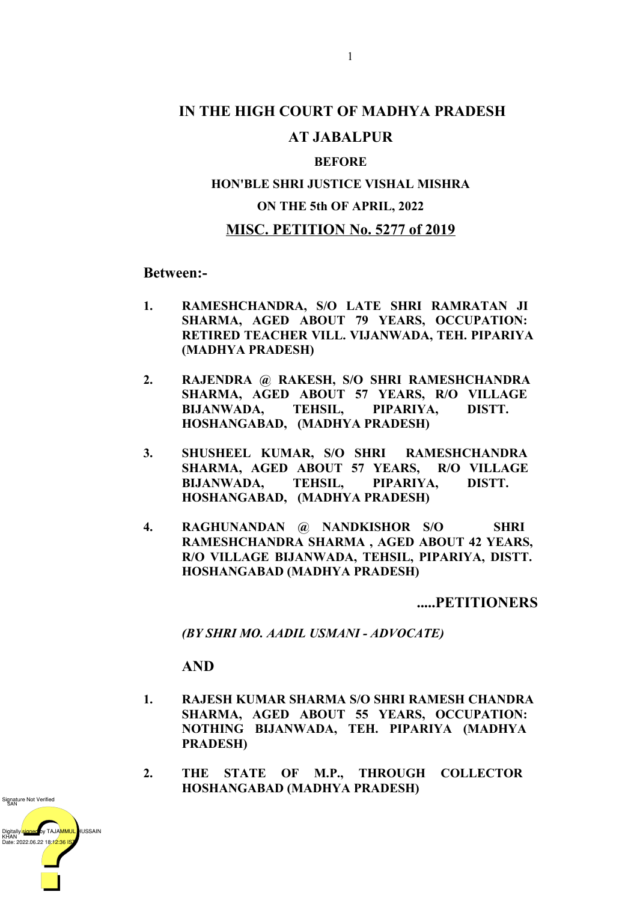# **IN THE HIGH COURT OF MADHYA PRADESH**

### **AT JABALPUR**

#### **BEFORE**

## **HON'BLE SHRI JUSTICE VISHAL MISHRA ON THE 5th OF APRIL, 2022**

#### **MISC. PETITION No. 5277 of 2019**

**Between:-**

- **1. RAMESHCHANDRA, S/O LATE SHRI RAMRATAN JI SHARMA, AGED ABOUT 79 YEARS, OCCUPATION: RETIRED TEACHER VILL. VIJANWADA, TEH. PIPARIYA (MADHYA PRADESH)**
- **2. RAJENDRA @ RAKESH, S/O SHRI RAMESHCHANDRA SHARMA, AGED ABOUT 57 YEARS, R/O VILLAGE BIJANWADA, TEHSIL, PIPARIYA, DISTT. HOSHANGABAD, (MADHYA PRADESH)**
- **3. SHUSHEEL KUMAR, S/O SHRI RAMESHCHANDRA SHARMA, AGED ABOUT 57 YEARS, R/O VILLAGE BIJANWADA, TEHSIL, PIPARIYA, DISTT. HOSHANGABAD, (MADHYA PRADESH)**
- **4. RAGHUNANDAN @ NANDKISHOR S/O SHRI RAMESHCHANDRA SHARMA , AGED ABOUT 42 YEARS, R/O VILLAGE BIJANWADA, TEHSIL, PIPARIYA, DISTT. HOSHANGABAD (MADHYA PRADESH)**

**.....PETITIONERS**

*(BY SHRI MO. AADIL USMANI - ADVOCATE)*

**AND**

- **1. RAJESH KUMAR SHARMA S/O SHRI RAMESH CHANDRA SHARMA, AGED ABOUT 55 YEARS, OCCUPATION: NOTHING BIJANWADA, TEH. PIPARIYA (MADHYA PRADESH)**
- **2. THE STATE OF M.P., THROUGH COLLECTOR HOSHANGABAD (MADHYA PRADESH)**

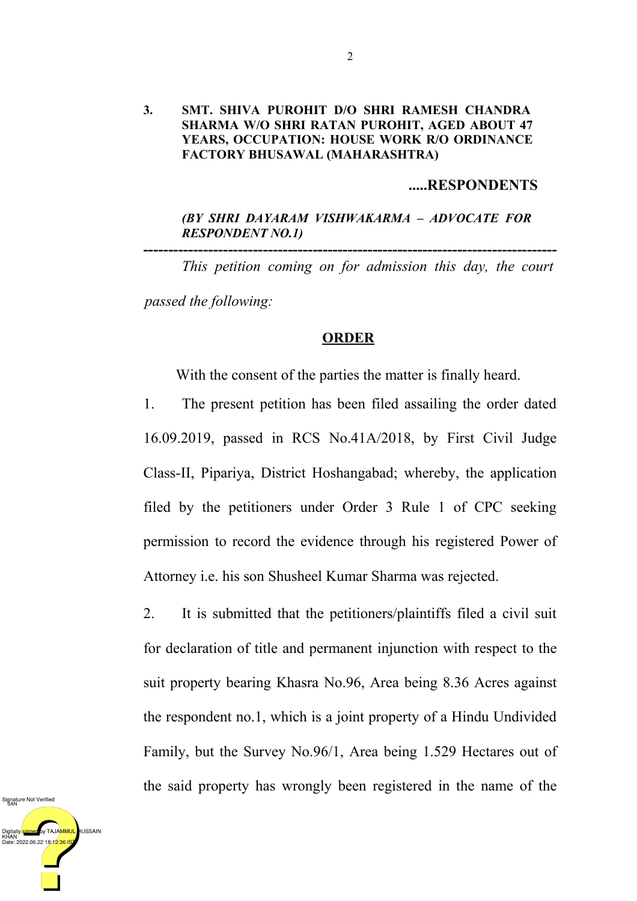#### **3. SMT. SHIVA PUROHIT D/O SHRI RAMESH CHANDRA SHARMA W/O SHRI RATAN PUROHIT, AGED ABOUT 47 YEARS, OCCUPATION: HOUSE WORK R/O ORDINANCE FACTORY BHUSAWAL (MAHARASHTRA)**

#### **.....RESPONDENTS**

#### *(BY SHRI DAYARAM VISHWAKARMA – ADVOCATE FOR RESPONDENT NO.1)*

*This petition coming on for admission this day, the court passed the following:*

**-----------------------------------------------------------------------------------**

#### **ORDER**

With the consent of the parties the matter is finally heard.

1. The present petition has been filed assailing the order dated 16.09.2019, passed in RCS No.41A/2018, by First Civil Judge Class-II, Pipariya, District Hoshangabad; whereby, the application filed by the petitioners under Order 3 Rule 1 of CPC seeking permission to record the evidence through his registered Power of Attorney i.e. his son Shusheel Kumar Sharma was rejected.

2. It is submitted that the petitioners/plaintiffs filed a civil suit for declaration of title and permanent injunction with respect to the suit property bearing Khasra No.96, Area being 8.36 Acres against the respondent no.1, which is a joint property of a Hindu Undivided Family, but the Survey No.96/1, Area being 1.529 Hectares out of the said property has wrongly been registered in the name of the

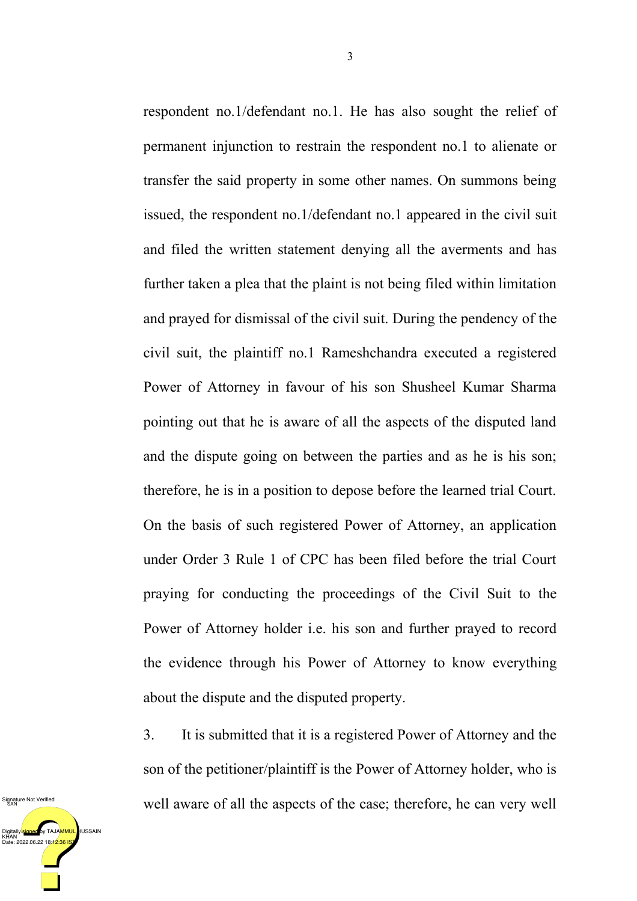respondent no.1/defendant no.1. He has also sought the relief of permanent injunction to restrain the respondent no.1 to alienate or transfer the said property in some other names. On summons being issued, the respondent no.1/defendant no.1 appeared in the civil suit and filed the written statement denying all the averments and has further taken a plea that the plaint is not being filed within limitation and prayed for dismissal of the civil suit. During the pendency of the civil suit, the plaintiff no.1 Rameshchandra executed a registered Power of Attorney in favour of his son Shusheel Kumar Sharma pointing out that he is aware of all the aspects of the disputed land and the dispute going on between the parties and as he is his son; therefore, he is in a position to depose before the learned trial Court. On the basis of such registered Power of Attorney, an application under Order 3 Rule 1 of CPC has been filed before the trial Court praying for conducting the proceedings of the Civil Suit to the Power of Attorney holder i.e. his son and further prayed to record the evidence through his Power of Attorney to know everything about the dispute and the disputed property.

3. It is submitted that it is a registered Power of Attorney and the son of the petitioner/plaintiff is the Power of Attorney holder, who is well aware of all the aspects of the case; therefore, he can very well

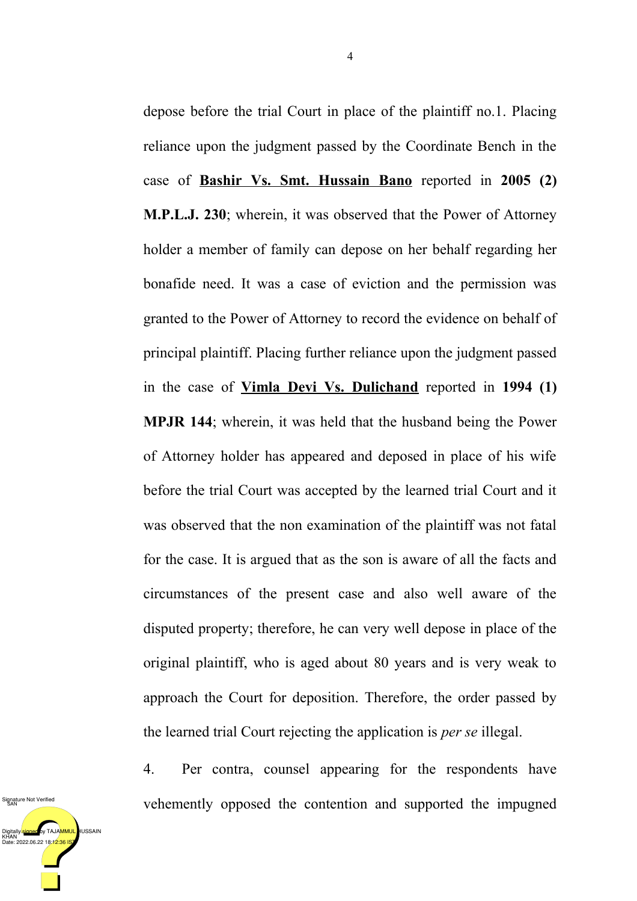depose before the trial Court in place of the plaintiff no.1. Placing reliance upon the judgment passed by the Coordinate Bench in the case of **Bashir Vs. Smt. Hussain Bano** reported in 2005 (2) **M.P.L.J. 230**; wherein, it was observed that the Power of Attorney holder a member of family can depose on her behalf regarding her bonafide need. It was a case of eviction and the permission was granted to the Power of Attorney to record the evidence on behalf of principal plaintiff. Placing further reliance upon the judgment passed in the case of **Vimla Devi Vs. Dulichand** reported in **1994 (1) MPJR 144**; wherein, it was held that the husband being the Power of Attorney holder has appeared and deposed in place of his wife before the trial Court was accepted by the learned trial Court and it was observed that the non examination of the plaintiff was not fatal for the case. It is argued that as the son is aware of all the facts and circumstances of the present case and also well aware of the disputed property; therefore, he can very well depose in place of the original plaintiff, who is aged about 80 years and is very weak to approach the Court for deposition. Therefore, the order passed by the learned trial Court rejecting the application is *per se* illegal.

4. Per contra, counsel appearing for the respondents have vehemently opposed the contention and supported the impugned

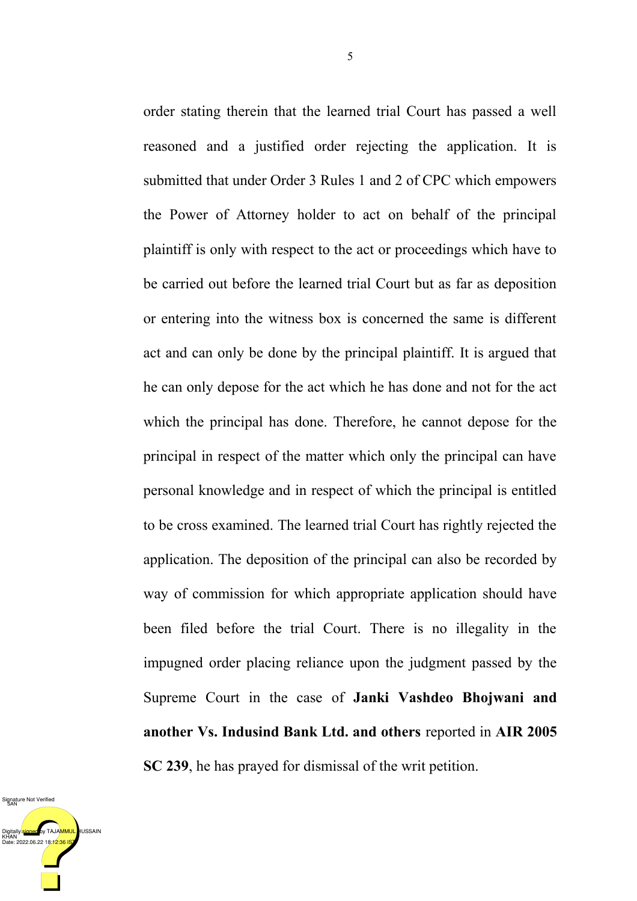order stating therein that the learned trial Court has passed a well reasoned and a justified order rejecting the application. It is submitted that under Order 3 Rules 1 and 2 of CPC which empowers the Power of Attorney holder to act on behalf of the principal plaintiff is only with respect to the act or proceedings which have to be carried out before the learned trial Court but as far as deposition or entering into the witness box is concerned the same is different act and can only be done by the principal plaintiff. It is argued that he can only depose for the act which he has done and not for the act which the principal has done. Therefore, he cannot depose for the principal in respect of the matter which only the principal can have personal knowledge and in respect of which the principal is entitled to be cross examined. The learned trial Court has rightly rejected the application. The deposition of the principal can also be recorded by way of commission for which appropriate application should have been filed before the trial Court. There is no illegality in the impugned order placing reliance upon the judgment passed by the Supreme Court in the case of **Janki Vashdeo Bhojwani and another Vs. Indusind Bank Ltd. and others** reported in **AIR 2005 SC 239**, he has prayed for dismissal of the writ petition.

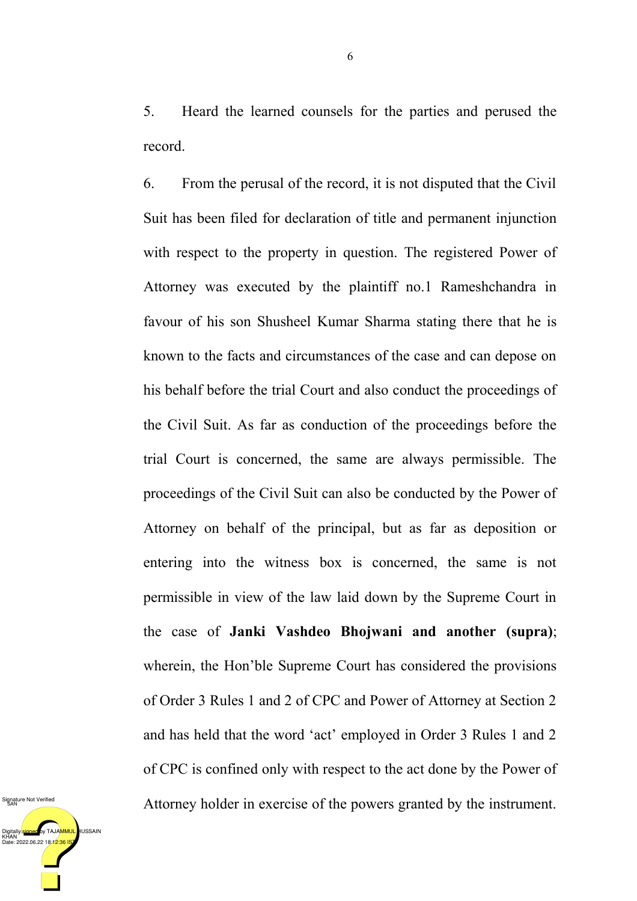5. Heard the learned counsels for the parties and perused the record.

6. From the perusal of the record, it is not disputed that the Civil Suit has been filed for declaration of title and permanent injunction with respect to the property in question. The registered Power of Attorney was executed by the plaintiff no.1 Rameshchandra in favour of his son Shusheel Kumar Sharma stating there that he is known to the facts and circumstances of the case and can depose on his behalf before the trial Court and also conduct the proceedings of the Civil Suit. As far as conduction of the proceedings before the trial Court is concerned, the same are always permissible. The proceedings of the Civil Suit can also be conducted by the Power of Attorney on behalf of the principal, but as far as deposition or entering into the witness box is concerned, the same is not permissible in view of the law laid down by the Supreme Court in the case of **Janki Vashdeo Bhojwani and another (supra)**; wherein, the Hon'ble Supreme Court has considered the provisions of Order 3 Rules 1 and 2 of CPC and Power of Attorney at Section 2 and has held that the word 'act' employed in Order 3 Rules 1 and 2 of CPC is confined only with respect to the act done by the Power of Attorney holder in exercise of the powers granted by the instrument.

DigitallyI<mark>signed </mark>by TAJA<mark>MMUL,</mark> HUSSAIN<br>KHAN<br>Date: 2022.06.22 18:12:36 IST Signature Not Verified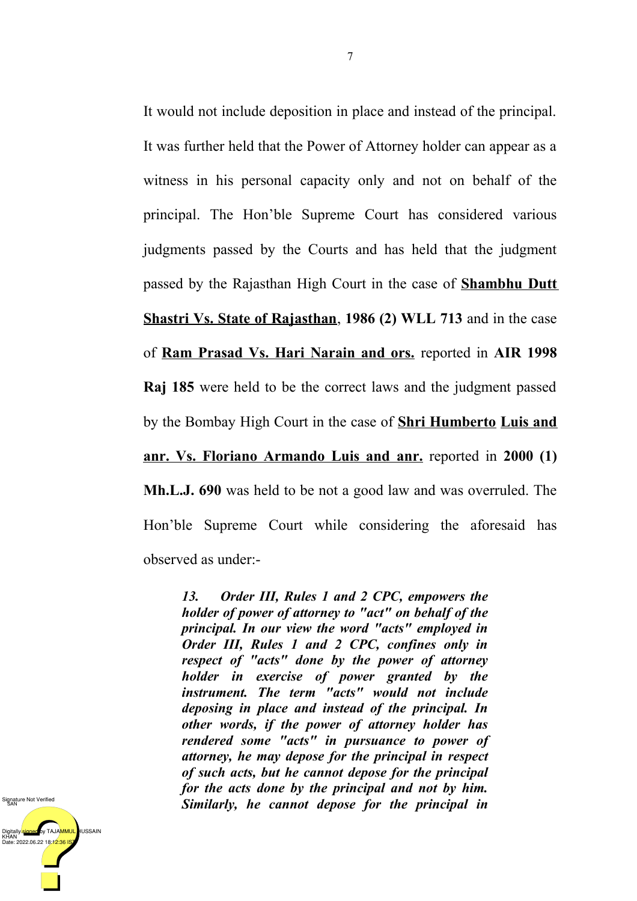It would not include deposition in place and instead of the principal. It was further held that the Power of Attorney holder can appear as a witness in his personal capacity only and not on behalf of the principal. The Hon'ble Supreme Court has considered various judgments passed by the Courts and has held that the judgment passed by the Rajasthan High Court in the case of **Shambhu Dutt Shastri Vs. State of Rajasthan**, **1986 (2) WLL 713** and in the case of **Ram Prasad Vs. Hari Narain and ors.** reported in **AIR 1998 Raj 185** were held to be the correct laws and the judgment passed by the Bombay High Court in the case of **Shri Humberto Luis and <u>anr. Vs. Floriano Armando Luis and anr.</u> reported in 2000 (1) Mh.L.J. 690** was held to be not a good law and was overruled. The Hon'ble Supreme Court while considering the aforesaid has observed as under:-

*13. Order III, Rules 1 and 2 CPC, empowers the holder of power of attorney to "act" on behalf of the principal. In our view the word "acts" employed in Order III, Rules 1 and 2 CPC, confines only in respect of "acts" done by the power of attorney holder in exercise of power granted by the instrument. The term "acts" would not include deposing in place and instead of the principal. In other words, if the power of attorney holder has rendered some "acts" in pursuance to power of attorney, he may depose for the principal in respect of such acts, but he cannot depose for the principal for the acts done by the principal and not by him. Similarly, he cannot depose for the principal in*

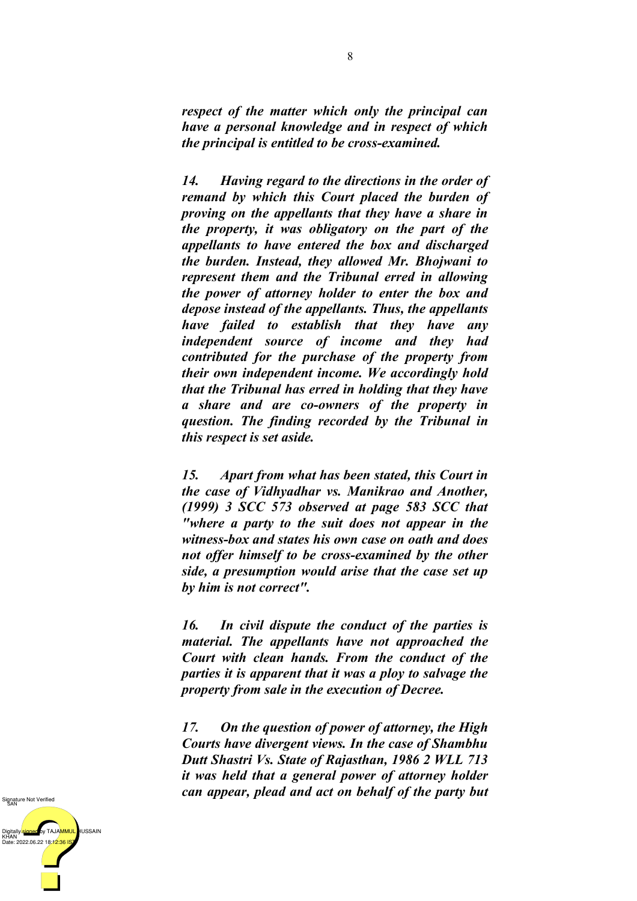*respect of the matter which only the principal can have a personal knowledge and in respect of which the principal is entitled to be cross-examined.*

*14. Having regard to the directions in the order of remand by which this Court placed the burden of proving on the appellants that they have a share in the property, it was obligatory on the part of the appellants to have entered the box and discharged the burden. Instead, they allowed Mr. Bhojwani to represent them and the Tribunal erred in allowing the power of attorney holder to enter the box and depose instead of the appellants. Thus, the appellants have failed to establish that they have any independent source of income and they had contributed for the purchase of the property from their own independent income. We accordingly hold that the Tribunal has erred in holding that they have a share and are co-owners of the property in question. The finding recorded by the Tribunal in this respect is set aside.*

*15. Apart from what has been stated, this Court in the case of Vidhyadhar vs. Manikrao and Another, (1999) 3 SCC 573 observed at page 583 SCC that "where a party to the suit does not appear in the witness-box and states his own case on oath and does not offer himself to be cross-examined by the other side, a presumption would arise that the case set up by him is not correct".*

*16. In civil dispute the conduct of the parties is material. The appellants have not approached the Court with clean hands. From the conduct of the parties it is apparent that it was a ploy to salvage the property from sale in the execution of Decree.*

*17. On the question of power of attorney, the High Courts have divergent views. In the case of Shambhu Dutt Shastri Vs. State of Rajasthan, 1986 2 WLL 713 it was held that a general power of attorney holder can appear, plead and act on behalf of the party but*

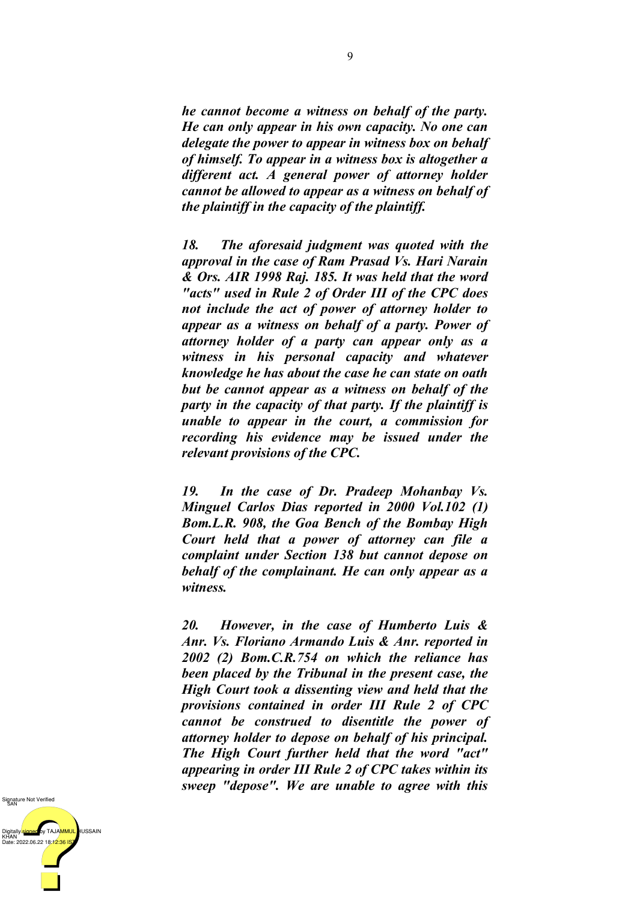*he cannot become a witness on behalf of the party. He can only appear in his own capacity. No one can delegate the power to appear in witness box on behalf of himself. To appear in a witness box is altogether a different act. A general power of attorney holder cannot be allowed to appear as a witness on behalf of the plaintiff in the capacity of the plaintiff.*

*18. The aforesaid judgment was quoted with the approval in the case of Ram Prasad Vs. Hari Narain & Ors. AIR 1998 Raj. 185. It was held that the word "acts" used in Rule 2 of Order III of the CPC does not include the act of power of attorney holder to appear as a witness on behalf of a party. Power of attorney holder of a party can appear only as a witness in his personal capacity and whatever knowledge he has about the case he can state on oath but be cannot appear as a witness on behalf of the party in the capacity of that party. If the plaintiff is unable to appear in the court, a commission for recording his evidence may be issued under the relevant provisions of the CPC.*

*19. In the case of Dr. Pradeep Mohanbay Vs. Minguel Carlos Dias reported in 2000 Vol.102 (1) Bom.L.R. 908, the Goa Bench of the Bombay High Court held that a power of attorney can file a complaint under Section 138 but cannot depose on behalf of the complainant. He can only appear as a witness.*

*20. However, in the case of Humberto Luis & Anr. Vs. Floriano Armando Luis & Anr. reported in 2002 (2) Bom.C.R.754 on which the reliance has been placed by the Tribunal in the present case, the High Court took a dissenting view and held that the provisions contained in order III Rule 2 of CPC cannot be construed to disentitle the power of attorney holder to depose on behalf of his principal. The High Court further held that the word "act" appearing in order III Rule 2 of CPC takes within its sweep "depose". We are unable to agree with this*

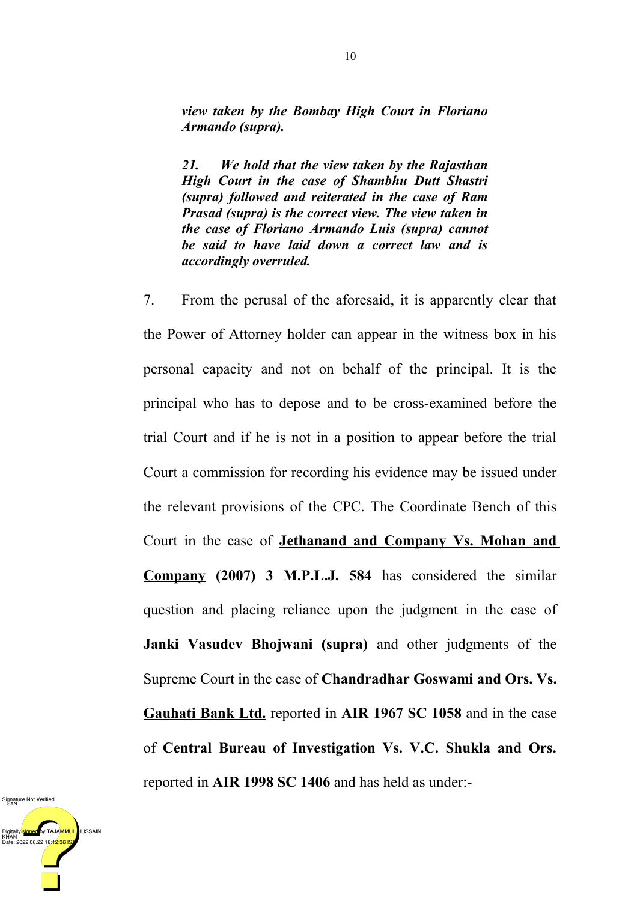*view taken by the Bombay High Court in Floriano Armando (supra).*

*21. We hold that the view taken by the Rajasthan High Court in the case of Shambhu Dutt Shastri (supra) followed and reiterated in the case of Ram Prasad (supra) is the correct view. The view taken in the case of Floriano Armando Luis (supra) cannot be said to have laid down a correct law and is accordingly overruled.*

7. From the perusal of the aforesaid, it is apparently clear that the Power of Attorney holder can appear in the witness box in his personal capacity and not on behalf of the principal. It is the principal who has to depose and to be cross-examined before the trial Court and if he is not in a position to appear before the trial Court a commission for recording his evidence may be issued under the relevant provisions of the CPC. The Coordinate Bench of this Court in the case of **Jethanand and Company Vs. Mohan and Company (2007) 3 M.P.L.J. 584** has considered the similar question and placing reliance upon the judgment in the case of **Janki Vasudev Bhojwani (supra)** and other judgments of the Supreme Court in the case of **Chandradhar Goswami and Ors. Vs. Gauhati Bank Ltd.** reported in **AIR 1967 SC 1058** and in the case of **Central Bureau of Investigation Vs. V.C. Shukla and Ors.** reported in **AIR 1998 SC 1406** and has held as under:-

DigitallyI<mark>signed </mark>by TAJA<mark>MMUL,</mark> HUSSAIN<br>KHAN<br>Date: 2022.06.22 18:12:36 IST Signature Not Verified<br>SAN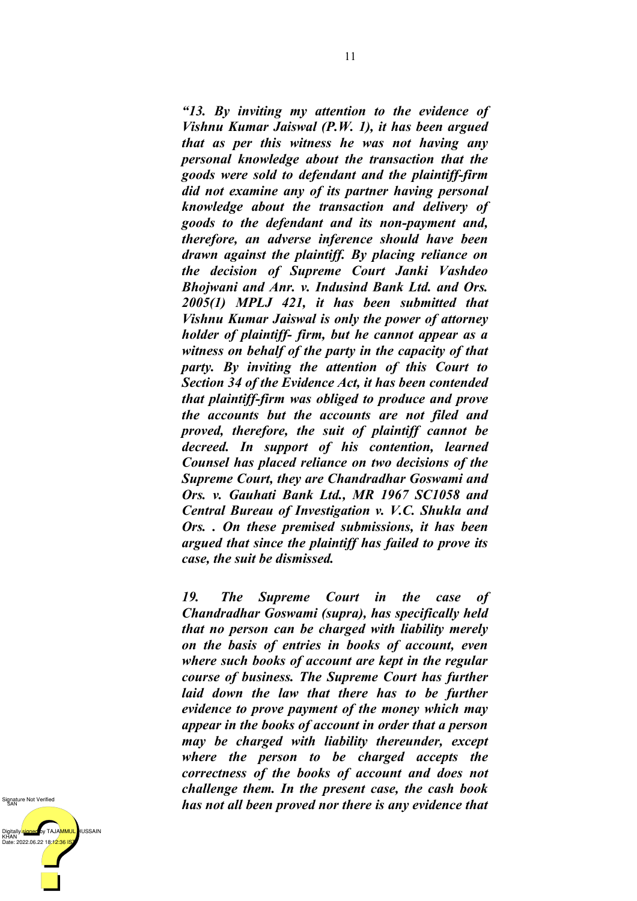*"13. By inviting my attention to the evidence of Vishnu Kumar Jaiswal (P.W. 1), it has been argued that as per this witness he was not having any personal knowledge about the transaction that the goods were sold to defendant and the plaintiff-firm did not examine any of its partner having personal knowledge about the transaction and delivery of goods to the defendant and its non-payment and, therefore, an adverse inference should have been drawn against the plaintiff. By placing reliance on the decision of Supreme Court Janki Vashdeo Bhojwani and Anr. v. Indusind Bank Ltd. and Ors. 2005(1) MPLJ 421, it has been submitted that Vishnu Kumar Jaiswal is only the power of attorney holder of plaintiff- firm, but he cannot appear as a witness on behalf of the party in the capacity of that party. By inviting the attention of this Court to Section 34 of the Evidence Act, it has been contended that plaintiff-firm was obliged to produce and prove the accounts but the accounts are not filed and proved, therefore, the suit of plaintiff cannot be decreed. In support of his contention, learned Counsel has placed reliance on two decisions of the Supreme Court, they are Chandradhar Goswami and Ors. v. Gauhati Bank Ltd., MR 1967 SC1058 and Central Bureau of Investigation v. V.C. Shukla and Ors. . On these premised submissions, it has been argued that since the plaintiff has failed to prove its case, the suit be dismissed.*

*19. The Supreme Court in the case of Chandradhar Goswami (supra), has specifically held that no person can be charged with liability merely on the basis of entries in books of account, even where such books of account are kept in the regular course of business. The Supreme Court has further laid down the law that there has to be further evidence to prove payment of the money which may appear in the books of account in order that a person may be charged with liability thereunder, except where the person to be charged accepts the correctness of the books of account and does not challenge them. In the present case, the cash book has not all been proved nor there is any evidence that*

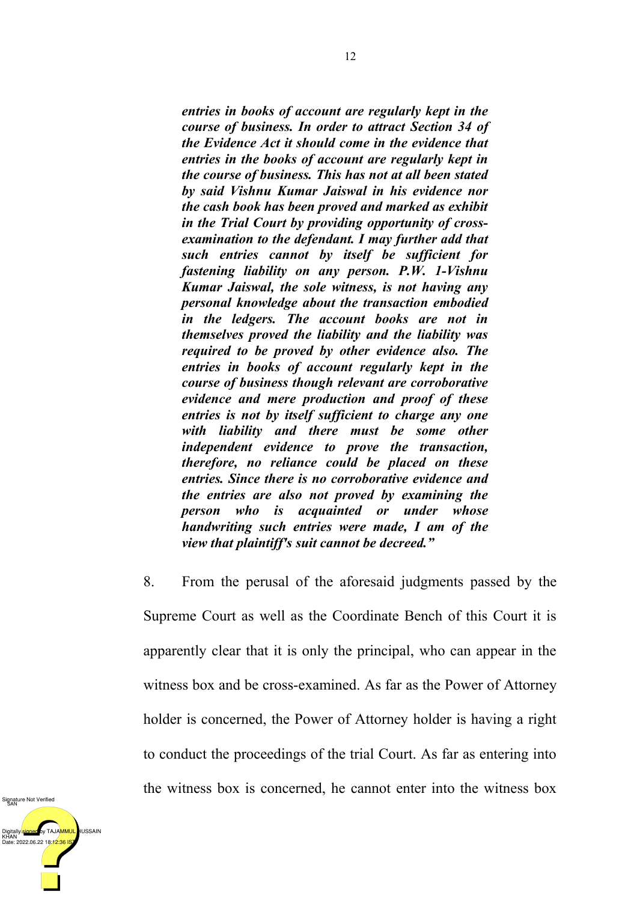*entries in books of account are regularly kept in the course of business. In order to attract Section 34 of the Evidence Act it should come in the evidence that entries in the books of account are regularly kept in the course of business. This has not at all been stated by said Vishnu Kumar Jaiswal in his evidence nor the cash book has been proved and marked as exhibit in the Trial Court by providing opportunity of crossexamination to the defendant. I may further add that such entries cannot by itself be sufficient for fastening liability on any person. P.W. 1-Vishnu Kumar Jaiswal, the sole witness, is not having any personal knowledge about the transaction embodied in the ledgers. The account books are not in themselves proved the liability and the liability was required to be proved by other evidence also. The entries in books of account regularly kept in the course of business though relevant are corroborative evidence and mere production and proof of these entries is not by itself sufficient to charge any one with liability and there must be some other independent evidence to prove the transaction, therefore, no reliance could be placed on these entries. Since there is no corroborative evidence and the entries are also not proved by examining the person who is acquainted or under whose handwriting such entries were made, I am of the view that plaintiff's suit cannot be decreed."*

8. From the perusal of the aforesaid judgments passed by the Supreme Court as well as the Coordinate Bench of this Court it is apparently clear that it is only the principal, who can appear in the witness box and be cross-examined. As far as the Power of Attorney holder is concerned, the Power of Attorney holder is having a right to conduct the proceedings of the trial Court. As far as entering into the witness box is concerned, he cannot enter into the witness box

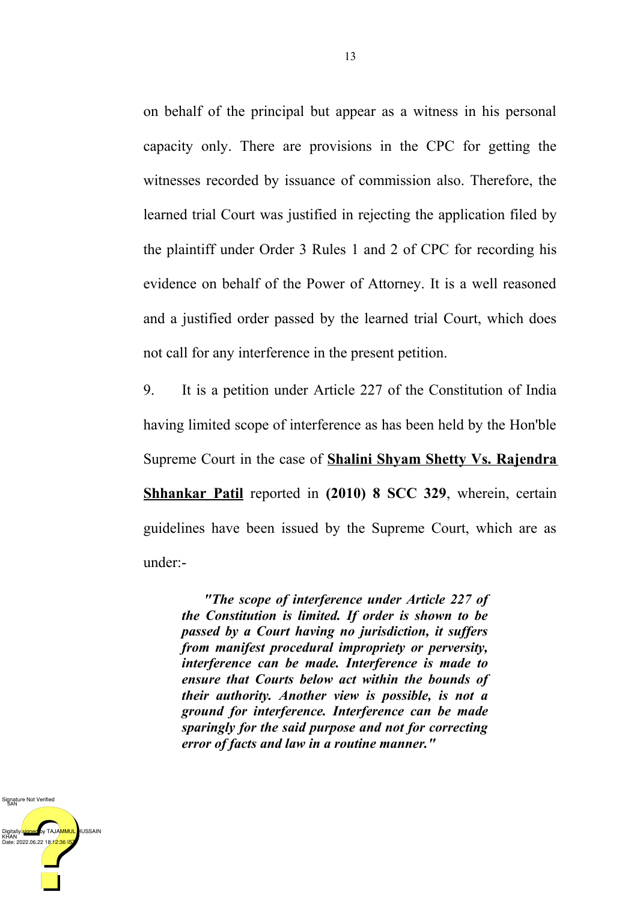on behalf of the principal but appear as a witness in his personal capacity only. There are provisions in the CPC for getting the witnesses recorded by issuance of commission also. Therefore, the learned trial Court was justified in rejecting the application filed by the plaintiff under Order 3 Rules 1 and 2 of CPC for recording his evidence on behalf of the Power of Attorney. It is a well reasoned and a justified order passed by the learned trial Court, which does not call for any interference in the present petition.

9. It is a petition under Article 227 of the Constitution of India having limited scope of interference as has been held by the Hon'ble Supreme Court in the case of **Shalini Shyam Shetty Vs. Rajendra Shhankar Patil** reported in **(2010) 8 SCC 329**, wherein, certain guidelines have been issued by the Supreme Court, which are as under:-

 *"The scope of interference under Article 227 of the Constitution is limited. If order is shown to be passed by a Court having no jurisdiction, it suffers from manifest procedural impropriety or perversity, interference can be made. Interference is made to ensure that Courts below act within the bounds of their authority. Another view is possible, is not a ground for interference. Interference can be made sparingly for the said purpose and not for correcting error of facts and law in a routine manner."*